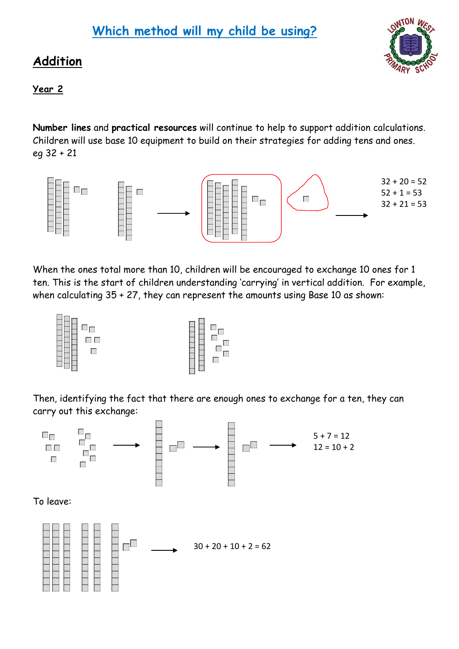# **Which method will my child be using?**

### **Addition**



### **Year 2**

**Number lines** and **practical resources** will continue to help to support addition calculations. Children will use base 10 equipment to build on their strategies for adding tens and ones. eg 32 + 21



When the ones total more than 10, children will be encouraged to exchange 10 ones for 1 ten. This is the start of children understanding 'carrying' in vertical addition. For example, when calculating 35 + 27, they can represent the amounts using Base 10 as shown:

| ĦĦ<br>HĦF<br>HĦF oo |  | i go |
|---------------------|--|------|
|---------------------|--|------|

Then, identifying the fact that there are enough ones to exchange for a ten, they can carry out this exchange:

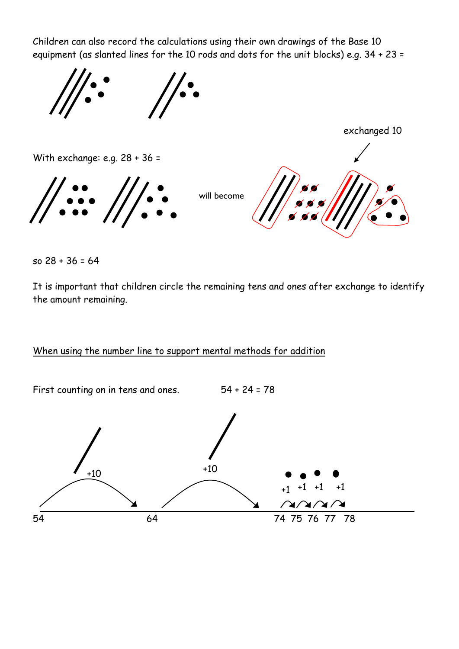Children can also record the calculations using their own drawings of the Base 10 equipment (as slanted lines for the 10 rods and dots for the unit blocks) e.g. 34 + 23 =



so 28 + 36 = 64

It is important that children circle the remaining tens and ones after exchange to identify the amount remaining.

#### When using the number line to support mental methods for addition

First counting on in tens and ones. 54 + 24 = 78

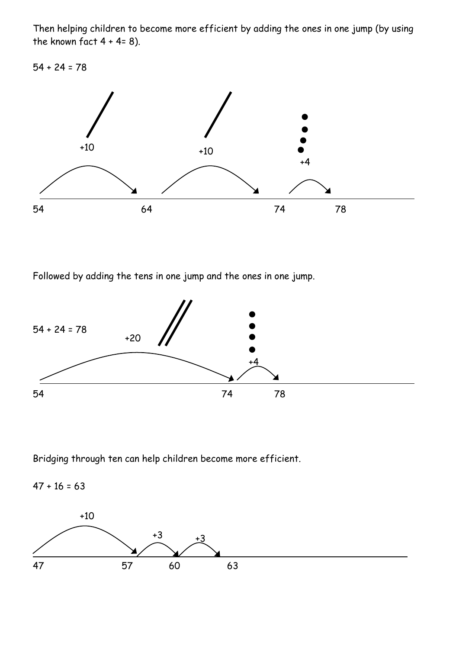Then helping children to become more efficient by adding the ones in one jump (by using the known fact  $4 + 4 = 8$ ).

 $54 + 24 = 78$ 



Followed by adding the tens in one jump and the ones in one jump.



Bridging through ten can help children become more efficient.

 $47 + 16 = 63$ 

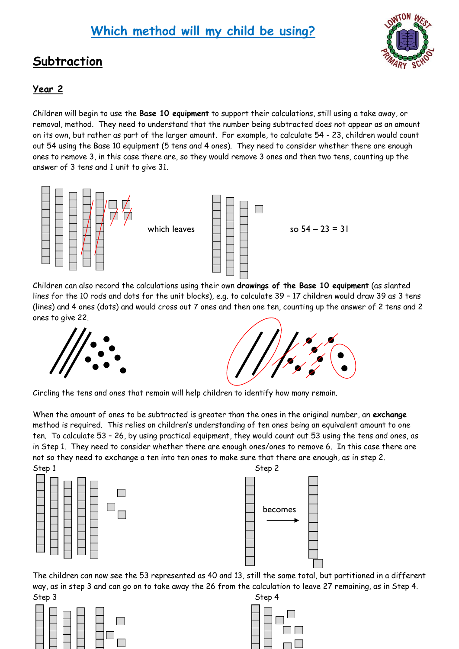### **Subtraction**



#### **Year 2**

Children will begin to use the **Base 10 equipment** to support their calculations, still using a take away, or removal, method. They need to understand that the number being subtracted does not appear as an amount on its own, but rather as part of the larger amount. For example, to calculate 54 - 23, children would count out 54 using the Base 10 equipment (5 tens and 4 ones). They need to consider whether there are enough ones to remove 3, in this case there are, so they would remove 3 ones and then two tens, counting up the answer of 3 tens and 1 unit to give 31.



Children can also record the calculations using their own **drawings of the Base 10 equipment** (as slanted lines for the 10 rods and dots for the unit blocks), e.g. to calculate 39 – 17 children would draw 39 as 3 tens (lines) and 4 ones (dots) and would cross out 7 ones and then one ten, counting up the answer of 2 tens and 2 ones to give 22.





Circling the tens and ones that remain will help children to identify how many remain.

When the amount of ones to be subtracted is greater than the ones in the original number, an **exchange**  method is required. This relies on children's understanding of ten ones being an equivalent amount to one ten. To calculate 53 – 26, by using practical equipment, they would count out 53 using the tens and ones, as in Step 1. They need to consider whether there are enough ones/ones to remove 6. In this case there are not so they need to exchange a ten into ten ones to make sure that there are enough, as in step 2.



becomes

The children can now see the 53 represented as 40 and 13, still the same total, but partitioned in a different way, as in step 3 and can go on to take away the 26 from the calculation to leave 27 remaining, as in Step 4.



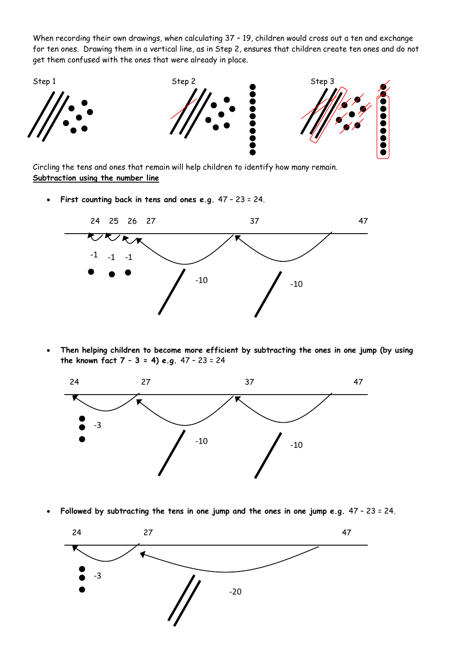When recording their own drawings, when calculating 37 – 19, children would cross out a ten and exchange for ten ones. Drawing them in a vertical line, as in Step 2, ensures that children create ten ones and do not get them confused with the ones that were already in place.



Circling the tens and ones that remain will help children to identify how many remain. **Subtraction using the number line**

**First counting back in tens and ones e.g.** 47 – 23 = 24.



 **Then helping children to become more efficient by subtracting the ones in one jump (by using the known fact 7 – 3 = 4) e.g.** 47 – 23 = 24



**Followed by subtracting the tens in one jump and the ones in one jump e.g.** 47 – 23 = 24.

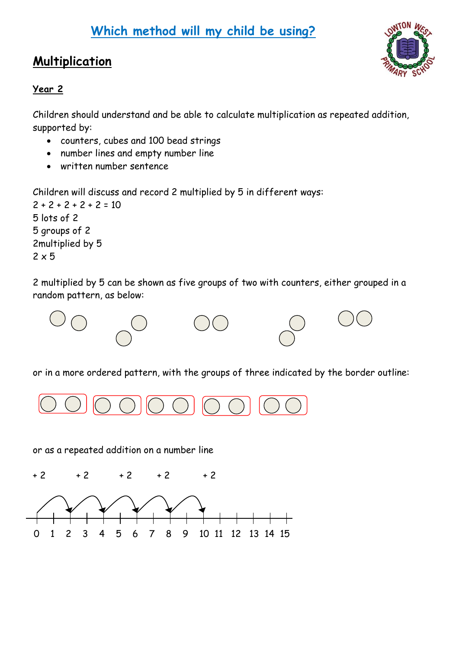# **Which method will my child be using?**

# **Multiplication**



### **Year 2**

Children should understand and be able to calculate multiplication as repeated addition, supported by:

- counters, cubes and 100 bead strings
- number lines and empty number line
- written number sentence

Children will discuss and record 2 multiplied by 5 in different ways:

 $2 + 2 + 2 + 2 + 2 = 10$ 5 lots of 2 5 groups of 2 2multiplied by 5  $2 \times 5$ 

2 multiplied by 5 can be shown as five groups of two with counters, either grouped in a random pattern, as below:



or in a more ordered pattern, with the groups of three indicated by the border outline:



or as a repeated addition on a number line

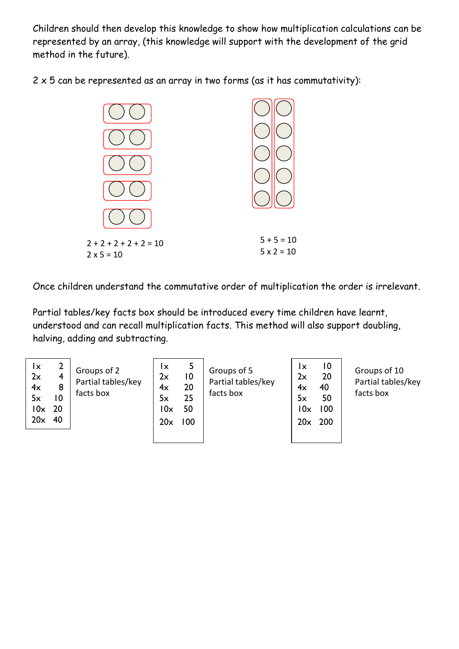Children should then develop this knowledge to show how multiplication calculations can be represented by an array, (this knowledge will support with the development of the grid method in the future).

 $2 \times 5$  can be represented as an array in two forms (as it has commutativity):



Once children understand the commutative order of multiplication the order is irrelevant.

Partial tables/key facts box should be introduced every time children have learnt, understood and can recall multiplication facts. This method will also support doubling, halving, adding and subtracting.

| 20x<br>40<br>20x<br>100<br>200<br>20x | 2<br>5<br>Ιx<br>Ιx<br>Groups of 2<br>Groups of 5<br>2x<br>2x<br>$\overline{10}$<br>4<br>Partial tables/key<br>Partial tables/key<br>20<br>4x<br>8<br>4x<br>facts box<br>facts box<br>25<br>10<br>5x<br>5x<br>$10x$ 20<br>50<br>10x | $\overline{10}$<br>Ιx<br>Groups of 10<br>20<br>2x<br>Partial tables/key<br>40<br>4x<br>facts box<br>50<br>5x<br>10x<br>100 |
|---------------------------------------|------------------------------------------------------------------------------------------------------------------------------------------------------------------------------------------------------------------------------------|----------------------------------------------------------------------------------------------------------------------------|
|---------------------------------------|------------------------------------------------------------------------------------------------------------------------------------------------------------------------------------------------------------------------------------|----------------------------------------------------------------------------------------------------------------------------|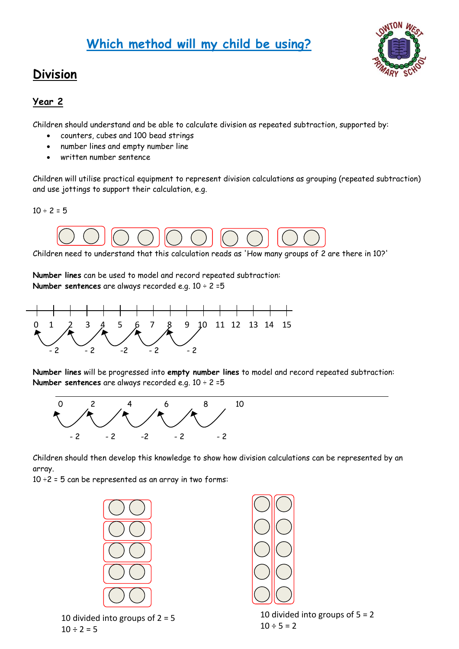# **Which method will my child be using?**

### **Division**

### **Year 2**

Children should understand and be able to calculate division as repeated subtraction, supported by:

- counters, cubes and 100 bead strings
- number lines and empty number line
- written number sentence

Children will utilise practical equipment to represent division calculations as grouping (repeated subtraction) and use jottings to support their calculation, e.g.

 $10 \div 2 = 5$ 



Children need to understand that this calculation reads as 'How many groups of 2 are there in 10?'

**Number lines** can be used to model and record repeated subtraction: **Number sentences** are always recorded e.g. 10 ÷ 2 =5



**Number lines** will be progressed into **empty number lines** to model and record repeated subtraction: **Number sentences** are always recorded e.g. 10 ÷ 2 =5



Children should then develop this knowledge to show how division calculations can be represented by an array.

 $10 \div 2 = 5$  can be represented as an array in two forms:



10 divided into groups of  $2 = 5$  $10 \div 2 = 5$ 

10 divided into groups of 5 = 2  $10 \div 5 = 2$